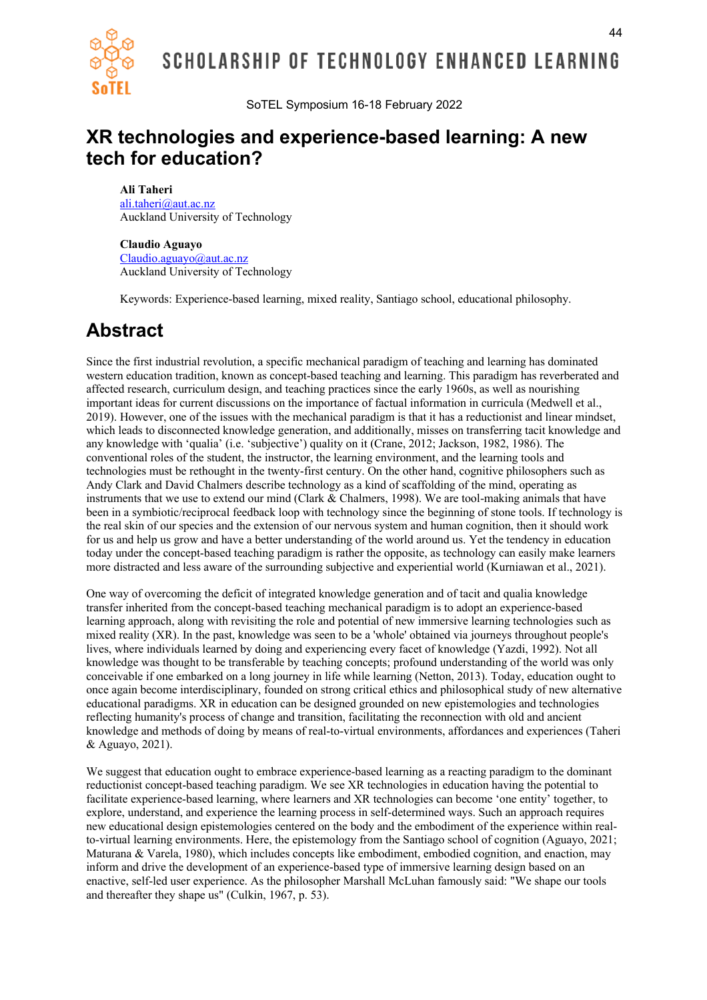

SoTEL Symposium 16-18 February 2022

### **XR technologies and experience-based learning: A new tech for education?**

#### **Ali Taheri**

ali.taheri@aut.ac.nz Auckland University of Technology

#### **Claudio Aguayo**

Claudio.aguayo@aut.ac.nz Auckland University of Technology

Keywords: Experience-based learning, mixed reality, Santiago school, educational philosophy.

# **Abstract**

Since the first industrial revolution, a specific mechanical paradigm of teaching and learning has dominated western education tradition, known as concept-based teaching and learning. This paradigm has reverberated and affected research, curriculum design, and teaching practices since the early 1960s, as well as nourishing important ideas for current discussions on the importance of factual information in curricula (Medwell et al., 2019). However, one of the issues with the mechanical paradigm is that it has a reductionist and linear mindset, which leads to disconnected knowledge generation, and additionally, misses on transferring tacit knowledge and any knowledge with 'qualia' (i.e. 'subjective') quality on it (Crane, 2012; Jackson, 1982, 1986). The conventional roles of the student, the instructor, the learning environment, and the learning tools and technologies must be rethought in the twenty-first century. On the other hand, cognitive philosophers such as Andy Clark and David Chalmers describe technology as a kind of scaffolding of the mind, operating as instruments that we use to extend our mind (Clark & Chalmers, 1998). We are tool-making animals that have been in a symbiotic/reciprocal feedback loop with technology since the beginning of stone tools. If technology is the real skin of our species and the extension of our nervous system and human cognition, then it should work for us and help us grow and have a better understanding of the world around us. Yet the tendency in education today under the concept-based teaching paradigm is rather the opposite, as technology can easily make learners more distracted and less aware of the surrounding subjective and experiential world (Kurniawan et al., 2021).

One way of overcoming the deficit of integrated knowledge generation and of tacit and qualia knowledge transfer inherited from the concept-based teaching mechanical paradigm is to adopt an experience-based learning approach, along with revisiting the role and potential of new immersive learning technologies such as mixed reality (XR). In the past, knowledge was seen to be a 'whole' obtained via journeys throughout people's lives, where individuals learned by doing and experiencing every facet of knowledge (Yazdi, 1992). Not all knowledge was thought to be transferable by teaching concepts; profound understanding of the world was only conceivable if one embarked on a long journey in life while learning (Netton, 2013). Today, education ought to once again become interdisciplinary, founded on strong critical ethics and philosophical study of new alternative educational paradigms. XR in education can be designed grounded on new epistemologies and technologies reflecting humanity's process of change and transition, facilitating the reconnection with old and ancient knowledge and methods of doing by means of real-to-virtual environments, affordances and experiences (Taheri & Aguayo, 2021).

We suggest that education ought to embrace experience-based learning as a reacting paradigm to the dominant reductionist concept-based teaching paradigm. We see XR technologies in education having the potential to facilitate experience-based learning, where learners and XR technologies can become 'one entity' together, to explore, understand, and experience the learning process in self-determined ways. Such an approach requires new educational design epistemologies centered on the body and the embodiment of the experience within realto-virtual learning environments. Here, the epistemology from the Santiago school of cognition (Aguayo, 2021; Maturana & Varela, 1980), which includes concepts like embodiment, embodied cognition, and enaction, may inform and drive the development of an experience-based type of immersive learning design based on an enactive, self-led user experience. As the philosopher Marshall McLuhan famously said: "We shape our tools and thereafter they shape us" (Culkin, 1967, p. 53).